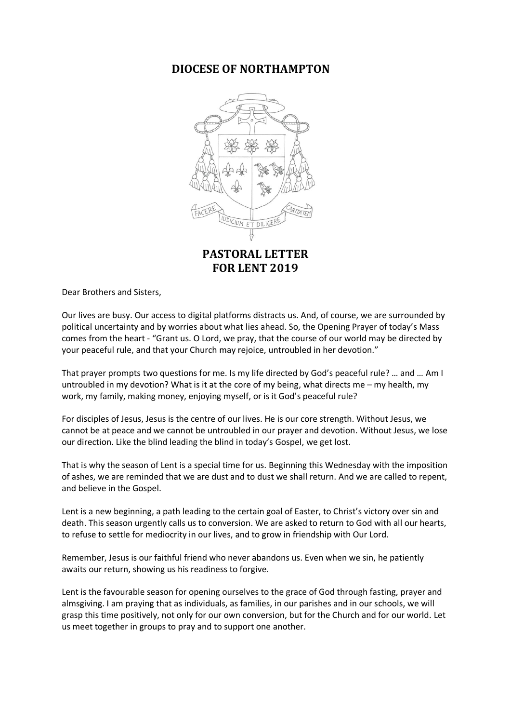## **DIOCESE OF NORTHAMPTON**



**FOR LENT 2019**

Dear Brothers and Sisters,

Our lives are busy. Our access to digital platforms distracts us. And, of course, we are surrounded by political uncertainty and by worries about what lies ahead. So, the Opening Prayer of today's Mass comes from the heart - "Grant us. O Lord, we pray, that the course of our world may be directed by your peaceful rule, and that your Church may rejoice, untroubled in her devotion."

That prayer prompts two questions for me. Is my life directed by God's peaceful rule? … and … Am I untroubled in my devotion? What is it at the core of my being, what directs me – my health, my work, my family, making money, enjoying myself, or is it God's peaceful rule?

For disciples of Jesus, Jesus is the centre of our lives. He is our core strength. Without Jesus, we cannot be at peace and we cannot be untroubled in our prayer and devotion. Without Jesus, we lose our direction. Like the blind leading the blind in today's Gospel, we get lost.

That is why the season of Lent is a special time for us. Beginning this Wednesday with the imposition of ashes, we are reminded that we are dust and to dust we shall return. And we are called to repent, and believe in the Gospel.

Lent is a new beginning, a path leading to the certain goal of Easter, to Christ's victory over sin and death. This season urgently calls us to conversion. We are asked to return to God with all our hearts, to refuse to settle for mediocrity in our lives, and to grow in friendship with Our Lord.

Remember, Jesus is our faithful friend who never abandons us. Even when we sin, he patiently awaits our return, showing us his readiness to forgive.

Lent is the favourable season for opening ourselves to the grace of God through fasting, prayer and almsgiving. I am praying that as individuals, as families, in our parishes and in our schools, we will grasp this time positively, not only for our own conversion, but for the Church and for our world. Let us meet together in groups to pray and to support one another.